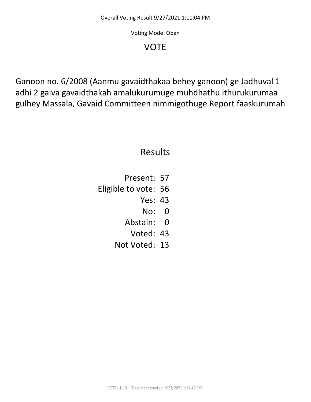Voting Mode: Open

## VOTE

Ganoon no. 6/2008 (Aanmu gavaidthakaa behey ganoon) ge Jadhuval 1 adhi 2 gaiva gavaidthakah amalukurumuge muhdhathu ithurukurumaa gulhey Massala, Gavaid Committeen nimmigothuge Report faaskurumah

## Results

- Present: 57
- Eligible to vote: 56
	- Yes: 43
		- No: 0
	- Abstain: 0
		- Voted: 43
	- Not Voted: 13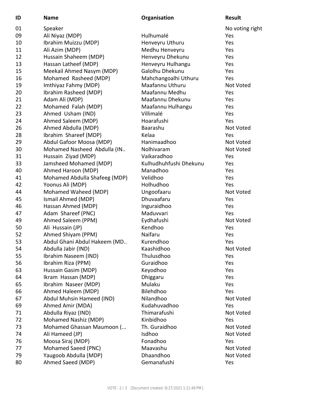| ID | <b>Name</b>                   | Organisation           | <b>Result</b>   |
|----|-------------------------------|------------------------|-----------------|
| 01 | Speaker                       |                        | No voting right |
| 09 | Ali Niyaz (MDP)               | Hulhumalé              | Yes             |
| 10 | Ibrahim Muizzu (MDP)          | Henveyru Uthuru        | Yes             |
| 11 | Ali Azim (MDP)                | Medhu Henveyru         | Yes             |
| 12 | Hussain Shaheem (MDP)         | Henveyru Dhekunu       | Yes             |
| 13 | Hassan Latheef (MDP)          | Henveyru Hulhangu      | Yes             |
| 15 | Meekail Ahmed Nasym (MDP)     | Galolhu Dhekunu        | Yes             |
| 16 | Mohamed Rasheed (MDP)         | Mahchangoalhi Uthuru   | Yes             |
| 19 | Imthiyaz Fahmy (MDP)          | Maafannu Uthuru        | Not Voted       |
| 20 | Ibrahim Rasheed (MDP)         | Maafannu Medhu         | Yes             |
| 21 | Adam Ali (MDP)                | Maafannu Dhekunu       | Yes             |
| 22 | Mohamed Falah (MDP)           | Maafannu Hulhangu      | Yes             |
| 23 | Ahmed Usham (IND)             | Villimalé              | Yes             |
| 24 | Ahmed Saleem (MDP)            | Hoarafushi             | Yes             |
| 26 | Ahmed Abdulla (MDP)           | Baarashu               | Not Voted       |
| 28 | Ibrahim Shareef (MDP)         | Kelaa                  | Yes             |
| 29 | Abdul Gafoor Moosa (MDP)      | Hanimaadhoo            | Not Voted       |
| 30 | Mohamed Nasheed Abdulla (IN   | Nolhivaram             | Not Voted       |
| 31 | Hussain Ziyad (MDP)           | Vaikaradhoo            | Yes             |
| 33 | Jamsheed Mohamed (MDP)        | Kulhudhuhfushi Dhekunu | Yes             |
| 40 | Ahmed Haroon (MDP)            | Manadhoo               | Yes             |
| 41 | Mohamed Abdulla Shafeeg (MDP) | Velidhoo               | Yes             |
| 42 | Yoonus Ali (MDP)              | Holhudhoo              | Yes             |
| 44 | Mohamed Waheed (MDP)          | Ungoofaaru             | Not Voted       |
| 45 | Ismail Ahmed (MDP)            | Dhuvaafaru             | Yes             |
| 46 | Hassan Ahmed (MDP)            | Inguraidhoo            | Yes             |
| 47 | Adam Shareef (PNC)            | Maduvvari              | Yes             |
| 49 | Ahmed Saleem (PPM)            | Eydhafushi             | Not Voted       |
| 50 | Ali Hussain (JP)              | Kendhoo                | Yes             |
| 52 | Ahmed Shiyam (PPM)            | Naifaru                | Yes             |
| 53 | Abdul Ghani Abdul Hakeem (MD. | Kurendhoo              | Yes             |
| 54 | Abdulla Jabir (IND)           | Kaashidhoo             | Not Voted       |
| 55 | Ibrahim Naseem (IND)          | Thulusdhoo             | Yes             |
| 56 | Ibrahim Riza (PPM)            | Guraidhoo              | Yes             |
| 63 | Hussain Gasim (MDP)           | Keyodhoo               | Yes             |
| 64 | Ikram Hassan (MDP)            | Dhiggaru               | Yes             |
| 65 | Ibrahim Naseer (MDP)          | Mulaku                 | Yes             |
| 66 | Ahmed Haleem (MDP)            | Bilehdhoo              | Yes             |
| 67 | Abdul Muhsin Hameed (IND)     | Nilandhoo              | Not Voted       |
| 69 | Ahmed Amir (MDA)              | Kudahuvadhoo           | Yes             |
| 71 | Abdulla Riyaz (IND)           | Thimarafushi           | Not Voted       |
| 72 | Mohamed Nashiz (MDP)          | Kinbidhoo              | Yes             |
| 73 | Mohamed Ghassan Maumoon (     | Th. Guraidhoo          | Not Voted       |
| 74 | Ali Hameed (JP)               | Isdhoo                 | Not Voted       |
| 76 | Moosa Siraj (MDP)             | Fonadhoo               | Yes             |
| 77 | Mohamed Saeed (PNC)           | Maavashu               | Not Voted       |
| 79 | Yaugoob Abdulla (MDP)         | Dhaandhoo              | Not Voted       |
| 80 | Ahmed Saeed (MDP)             | Gemanafushi            | Yes             |
|    |                               |                        |                 |